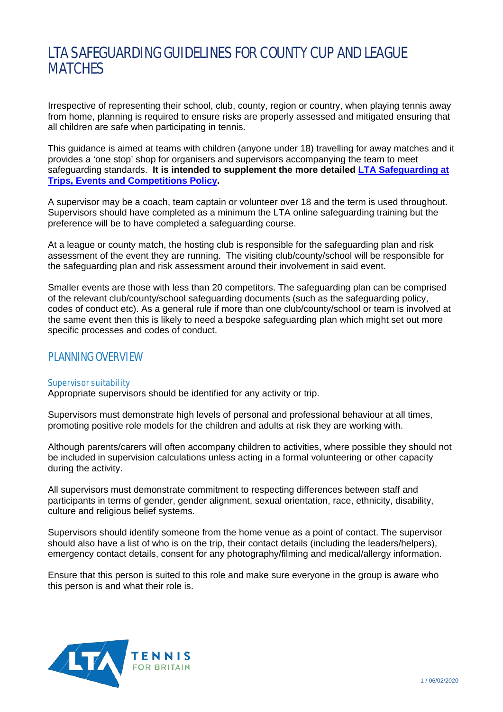# LTA SAFEGUARDING GUIDELINES FOR COUNTY CUP AND LEAGUE MATCHES

Irrespective of representing their school, club, county, region or country, when playing tennis away from home, planning is required to ensure risks are properly assessed and mitigated ensuring that all children are safe when participating in tennis.

This guidance is aimed at teams with children (anyone under 18) travelling for away matches and it provides a 'one stop' shop for organisers and supervisors accompanying the team to meet safeguarding standards. **It is intended to supplement the more detailed [LTA Safeguarding at](https://www.lta.org.uk/about-us/safeguarding-protection/)  [Trips, Events and Competitions Policy.](https://www.lta.org.uk/about-us/safeguarding-protection/)** 

A supervisor may be a coach, team captain or volunteer over 18 and the term is used throughout. Supervisors should have completed as a minimum the LTA online safeguarding training but the preference will be to have completed a safeguarding course.

At a league or county match, the hosting club is responsible for the safeguarding plan and risk assessment of the event they are running. The visiting club/county/school will be responsible for the safeguarding plan and risk assessment around their involvement in said event.

Smaller events are those with less than 20 competitors. The safeguarding plan can be comprised of the relevant club/county/school safeguarding documents (such as the safeguarding policy, codes of conduct etc). As a general rule if more than one club/county/school or team is involved at the same event then this is likely to need a bespoke safeguarding plan which might set out more specific processes and codes of conduct.

# PLANNING OVERVIEW

# Supervisor suitability

Appropriate supervisors should be identified for any activity or trip.

Supervisors must demonstrate high levels of personal and professional behaviour at all times, promoting positive role models for the children and adults at risk they are working with.

Although parents/carers will often accompany children to activities, where possible they should not be included in supervision calculations unless acting in a formal volunteering or other capacity during the activity.

All supervisors must demonstrate commitment to respecting differences between staff and participants in terms of gender, gender alignment, sexual orientation, race, ethnicity, disability, culture and religious belief systems.

Supervisors should identify someone from the home venue as a point of contact. The supervisor should also have a list of who is on the trip, their contact details (including the leaders/helpers), emergency contact details, consent for any photography/filming and medical/allergy information.

Ensure that this person is suited to this role and make sure everyone in the group is aware who this person is and what their role is.

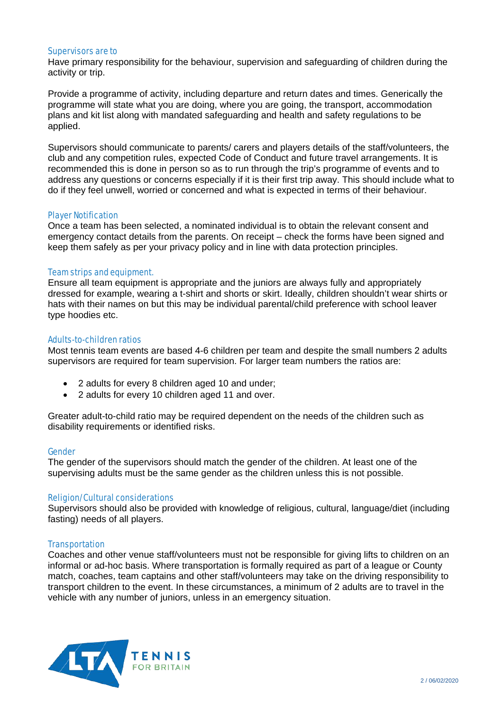#### Supervisors are to

Have primary responsibility for the behaviour, supervision and safeguarding of children during the activity or trip.

Provide a programme of activity, including departure and return dates and times. Generically the programme will state what you are doing, where you are going, the transport, accommodation plans and kit list along with mandated safeguarding and health and safety regulations to be applied.

Supervisors should communicate to parents/ carers and players details of the staff/volunteers, the club and any competition rules, expected Code of Conduct and future travel arrangements. It is recommended this is done in person so as to run through the trip's programme of events and to address any questions or concerns especially if it is their first trip away. This should include what to do if they feel unwell, worried or concerned and what is expected in terms of their behaviour.

#### Player Notification

Once a team has been selected, a nominated individual is to obtain the relevant consent and emergency contact details from the parents. On receipt – check the forms have been signed and keep them safely as per your privacy policy and in line with data protection principles.

#### Team strips and equipment.

Ensure all team equipment is appropriate and the juniors are always fully and appropriately dressed for example, wearing a t-shirt and shorts or skirt. Ideally, children shouldn't wear shirts or hats with their names on but this may be individual parental/child preference with school leaver type hoodies etc.

#### Adults-to-children ratios

Most tennis team events are based 4-6 children per team and despite the small numbers 2 adults supervisors are required for team supervision. For larger team numbers the ratios are:

- 2 adults for every 8 children aged 10 and under;
- 2 adults for every 10 children aged 11 and over.

Greater adult-to-child ratio may be required dependent on the needs of the children such as disability requirements or identified risks.

#### Gender

The gender of the supervisors should match the gender of the children. At least one of the supervising adults must be the same gender as the children unless this is not possible.

#### Religion/Cultural considerations

Supervisors should also be provided with knowledge of religious, cultural, language/diet (including fasting) needs of all players.

# **Transportation**

Coaches and other venue staff/volunteers must not be responsible for giving lifts to children on an informal or ad-hoc basis. Where transportation is formally required as part of a league or County match, coaches, team captains and other staff/volunteers may take on the driving responsibility to transport children to the event. In these circumstances, a minimum of 2 adults are to travel in the vehicle with any number of juniors, unless in an emergency situation.

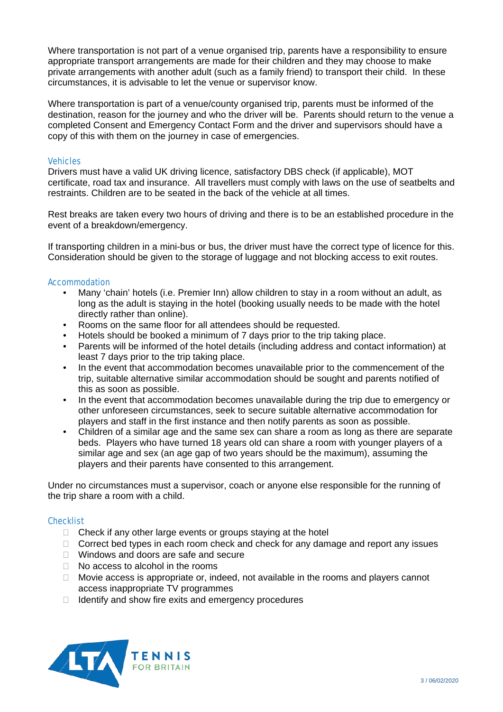Where transportation is not part of a venue organised trip, parents have a responsibility to ensure appropriate transport arrangements are made for their children and they may choose to make private arrangements with another adult (such as a family friend) to transport their child. In these circumstances, it is advisable to let the venue or supervisor know.

Where transportation is part of a venue/county organised trip, parents must be informed of the destination, reason for the journey and who the driver will be. Parents should return to the venue a completed Consent and Emergency Contact Form and the driver and supervisors should have a copy of this with them on the journey in case of emergencies.

# **Vehicles**

Drivers must have a valid UK driving licence, satisfactory DBS check (if applicable), MOT certificate, road tax and insurance. All travellers must comply with laws on the use of seatbelts and restraints. Children are to be seated in the back of the vehicle at all times.

Rest breaks are taken every two hours of driving and there is to be an established procedure in the event of a breakdown/emergency.

If transporting children in a mini-bus or bus, the driver must have the correct type of licence for this. Consideration should be given to the storage of luggage and not blocking access to exit routes.

# **Accommodation**

- Many 'chain' hotels (i.e. Premier Inn) allow children to stay in a room without an adult, as long as the adult is staying in the hotel (booking usually needs to be made with the hotel directly rather than online).
- Rooms on the same floor for all attendees should be requested.
- Hotels should be booked a minimum of 7 days prior to the trip taking place.
- Parents will be informed of the hotel details (including address and contact information) at least 7 days prior to the trip taking place.
- In the event that accommodation becomes unavailable prior to the commencement of the trip, suitable alternative similar accommodation should be sought and parents notified of this as soon as possible.
- In the event that accommodation becomes unavailable during the trip due to emergency or other unforeseen circumstances, seek to secure suitable alternative accommodation for players and staff in the first instance and then notify parents as soon as possible.
- Children of a similar age and the same sex can share a room as long as there are separate beds. Players who have turned 18 years old can share a room with younger players of a similar age and sex (an age gap of two years should be the maximum), assuming the players and their parents have consented to this arrangement.

Under no circumstances must a supervisor, coach or anyone else responsible for the running of the trip share a room with a child.

# **Checklist**

- $\Box$  Check if any other large events or groups staying at the hotel
- $\Box$  Correct bed types in each room check and check for any damage and report any issues
- Windows and doors are safe and secure
- $\Box$  No access to alcohol in the rooms
- $\Box$  Movie access is appropriate or, indeed, not available in the rooms and players cannot access inappropriate TV programmes
- $\Box$  Identify and show fire exits and emergency procedures

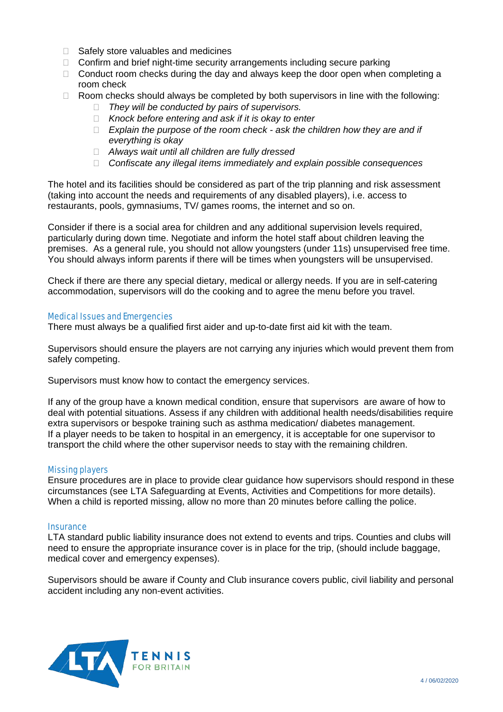- □ Safely store valuables and medicines
- $\Box$  Confirm and brief night-time security arrangements including secure parking
- $\Box$  Conduct room checks during the day and always keep the door open when completing a room check
- $\Box$  Room checks should always be completed by both supervisors in line with the following:
	- *They will be conducted by pairs of supervisors.*
	- *Knock before entering and ask if it is okay to enter*
	- *Explain the purpose of the room check - ask the children how they are and if everything is okay*
	- *Always wait until all children are fully dressed*
	- *Confiscate any illegal items immediately and explain possible consequences*

The hotel and its facilities should be considered as part of the trip planning and risk assessment (taking into account the needs and requirements of any disabled players), i.e. access to restaurants, pools, gymnasiums, TV/ games rooms, the internet and so on.

Consider if there is a social area for children and any additional supervision levels required, particularly during down time. Negotiate and inform the hotel staff about children leaving the premises. As a general rule, you should not allow youngsters (under 11s) unsupervised free time. You should always inform parents if there will be times when youngsters will be unsupervised.

Check if there are there any special dietary, medical or allergy needs. If you are in self-catering accommodation, supervisors will do the cooking and to agree the menu before you travel.

#### Medical Issues and Emergencies

There must always be a qualified first aider and up-to-date first aid kit with the team.

Supervisors should ensure the players are not carrying any injuries which would prevent them from safely competing.

Supervisors must know how to contact the emergency services.

If any of the group have a known medical condition, ensure that supervisors are aware of how to deal with potential situations. Assess if any children with additional health needs/disabilities require extra supervisors or bespoke training such as asthma medication/ diabetes management. If a player needs to be taken to hospital in an emergency, it is acceptable for one supervisor to transport the child where the other supervisor needs to stay with the remaining children.

#### Missing players

Ensure procedures are in place to provide clear guidance how supervisors should respond in these circumstances (see LTA Safeguarding at Events, Activities and Competitions for more details). When a child is reported missing, allow no more than 20 minutes before calling the police.

#### **Insurance**

LTA standard public liability insurance does not extend to events and trips. Counties and clubs will need to ensure the appropriate insurance cover is in place for the trip, (should include baggage, medical cover and emergency expenses).

Supervisors should be aware if County and Club insurance covers public, civil liability and personal accident including any non-event activities.

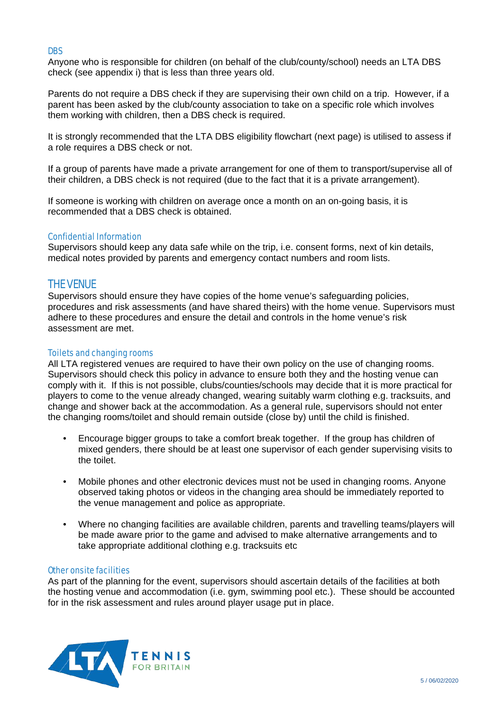# DBS

Anyone who is responsible for children (on behalf of the club/county/school) needs an LTA DBS check (see appendix i) that is less than three years old.

Parents do not require a DBS check if they are supervising their own child on a trip. However, if a parent has been asked by the club/county association to take on a specific role which involves them working with children, then a DBS check is required.

It is strongly recommended that the LTA DBS eligibility flowchart (next page) is utilised to assess if a role requires a DBS check or not.

If a group of parents have made a private arrangement for one of them to transport/supervise all of their children, a DBS check is not required (due to the fact that it is a private arrangement).

If someone is working with children on average once a month on an on-going basis, it is recommended that a DBS check is obtained.

# Confidential Information

Supervisors should keep any data safe while on the trip, i.e. consent forms, next of kin details, medical notes provided by parents and emergency contact numbers and room lists.

# THE VENUE

Supervisors should ensure they have copies of the home venue's safeguarding policies, procedures and risk assessments (and have shared theirs) with the home venue. Supervisors must adhere to these procedures and ensure the detail and controls in the home venue's risk assessment are met.

# Toilets and changing rooms

All LTA registered venues are required to have their own policy on the use of changing rooms. Supervisors should check this policy in advance to ensure both they and the hosting venue can comply with it. If this is not possible, clubs/counties/schools may decide that it is more practical for players to come to the venue already changed, wearing suitably warm clothing e.g. tracksuits, and change and shower back at the accommodation. As a general rule, supervisors should not enter the changing rooms/toilet and should remain outside (close by) until the child is finished.

- Encourage bigger groups to take a comfort break together. If the group has children of mixed genders, there should be at least one supervisor of each gender supervising visits to the toilet.
- Mobile phones and other electronic devices must not be used in changing rooms. Anyone observed taking photos or videos in the changing area should be immediately reported to the venue management and police as appropriate.
- Where no changing facilities are available children, parents and travelling teams/players will be made aware prior to the game and advised to make alternative arrangements and to take appropriate additional clothing e.g. tracksuits etc

# Other onsite facilities

As part of the planning for the event, supervisors should ascertain details of the facilities at both the hosting venue and accommodation (i.e. gym, swimming pool etc.). These should be accounted for in the risk assessment and rules around player usage put in place.

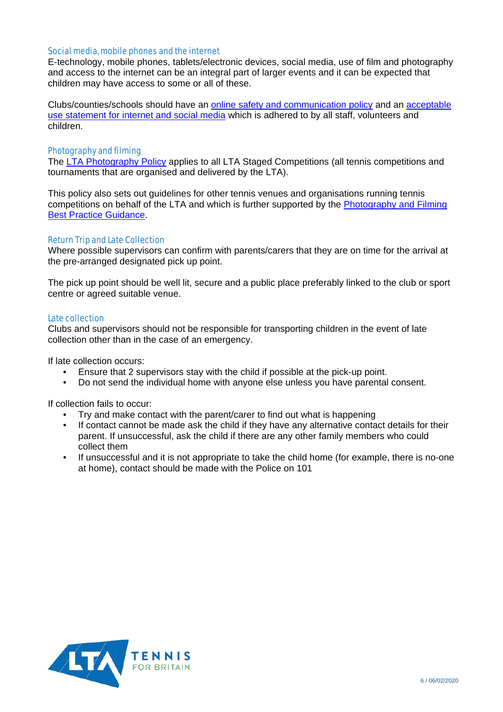# Social media, mobile phones and the internet

E-technology, mobile phones, tablets/electronic devices, social media, use of film and photography and access to the internet can be an integral part of larger events and it can be expected that children may have access to some or all of these.

Clubs/counties/schools should have an [online safety and communication policy](https://www.lta.org.uk/globalassets/about-lta/safeguarding/county-standards/online-safety-and-communication-policy.docx) and an [acceptable](https://www.lta.org.uk/globalassets/about-lta/safeguarding/county-standards/acceptable-use-statement-for-internet-and-social-media-use.docx)  [use statement for internet and social media](https://www.lta.org.uk/globalassets/about-lta/safeguarding/county-standards/acceptable-use-statement-for-internet-and-social-media-use.docx) which is adhered to by all staff, volunteers and children.

# Photography and filming

The [LTA Photography Policy](https://www.lta.org.uk/globalassets/about-lta/safeguarding/lta-photography-policy-final.pdf) applies to all LTA Staged Competitions (all tennis competitions and tournaments that are organised and delivered by the LTA).

This policy also sets out guidelines for other tennis venues and organisations running tennis competitions on behalf of the LTA and which is further supported by the [Photography and Filming](https://www.lta.org.uk/globalassets/about-lta/safeguarding/county-standards/photography-and-filming-best-practice-guidance.docx)  [Best Practice Guidance.](https://www.lta.org.uk/globalassets/about-lta/safeguarding/county-standards/photography-and-filming-best-practice-guidance.docx)

# Return Trip and Late Collection

Where possible supervisors can confirm with parents/carers that they are on time for the arrival at the pre-arranged designated pick up point.

The pick up point should be well lit, secure and a public place preferably linked to the club or sport centre or agreed suitable venue.

# Late collection

Clubs and supervisors should not be responsible for transporting children in the event of late collection other than in the case of an emergency.

If late collection occurs:

- Ensure that 2 supervisors stay with the child if possible at the pick-up point.<br>• Do not send the individual home with anyone else unless you have parental
- Do not send the individual home with anyone else unless you have parental consent.

If collection fails to occur:

- Try and make contact with the parent/carer to find out what is happening
- If contact cannot be made ask the child if they have any alternative contact details for their parent. If unsuccessful, ask the child if there are any other family members who could collect them
- If unsuccessful and it is not appropriate to take the child home (for example, there is no-one at home), contact should be made with the Police on 101